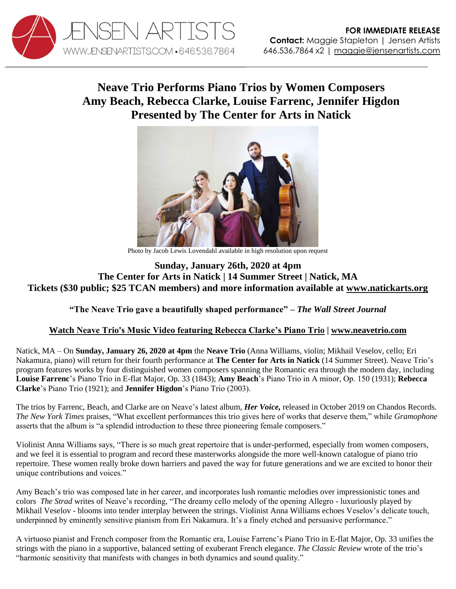

## **Neave Trio Performs Piano Trios by Women Composers Amy Beach, Rebecca Clarke, Louise Farrenc, Jennifer Higdon Presented by The Center for Arts in Natick**



Photo by Jacob Lewis Lovendahl available in high resolution upon request

## **Sunday, January 26th, 2020 at 4pm The Center for Arts in Natick | 14 Summer Street | Natick, MA Tickets (\$30 public; \$25 TCAN members) and more information available at [www.natickarts.org](http://www.natickarts.org/performance/neave-trio-her-voice-2020-01-26)**

## **"The Neave Trio gave a beautifully shaped performance" –** *The Wall Street Journal*

## **Watch [Neave Trio's Music Video featuring Rebecca Clarke's Piano Trio](https://www.youtube.com/watch?v=Qc2S8xsdj6g) | [www.neavetrio.com](http://www.neavetrio.com/)**

Natick, MA – On **Sunday, January 26, 2020 at 4pm** the **Neave Trio** (Anna Williams, violin; Mikhail Veselov, cello; Eri Nakamura, piano) will return for their fourth performance at **The Center for Arts in Natick** (14 Summer Street). Neave Trio's program features works by four distinguished women composers spanning the Romantic era through the modern day, including **Louise Farrenc**'s Piano Trio in E-flat Major, Op. 33 (1843); **Amy Beach**'s Piano Trio in A minor, Op. 150 (1931); **Rebecca Clarke**'s Piano Trio (1921); and **Jennifer Higdon**'s Piano Trio (2003).

The trios by Farrenc, Beach, and Clarke are on Neave's latest album, *Her Voice,* released in October 2019 on Chandos Records. *The New York Times* praises, "What excellent performances this trio gives here of works that deserve them," while *Gramophone* asserts that the album is "a splendid introduction to these three pioneering female composers."

Violinist Anna Williams says, "There is so much great repertoire that is under-performed, especially from women composers, and we feel it is essential to program and record these masterworks alongside the more well-known catalogue of piano trio repertoire. These women really broke down barriers and paved the way for future generations and we are excited to honor their unique contributions and voices."

Amy Beach's trio was composed late in her career, and incorporates lush romantic melodies over impressionistic tones and colors *The Strad* writes of Neave's recording, "The dreamy cello melody of the opening Allegro - luxuriously played by Mikhail Veselov - blooms into tender interplay between the strings. Violinist Anna Williams echoes Veselov's delicate touch, underpinned by eminently sensitive pianism from Eri Nakamura. It's a finely etched and persuasive performance."

A virtuoso pianist and French composer from the Romantic era, Louise Farrenc's Piano Trio in E-flat Major, Op. 33 unifies the strings with the piano in a supportive, balanced setting of exuberant French elegance. *The Classic Review* wrote of the trio's "harmonic sensitivity that manifests with changes in both dynamics and sound quality."